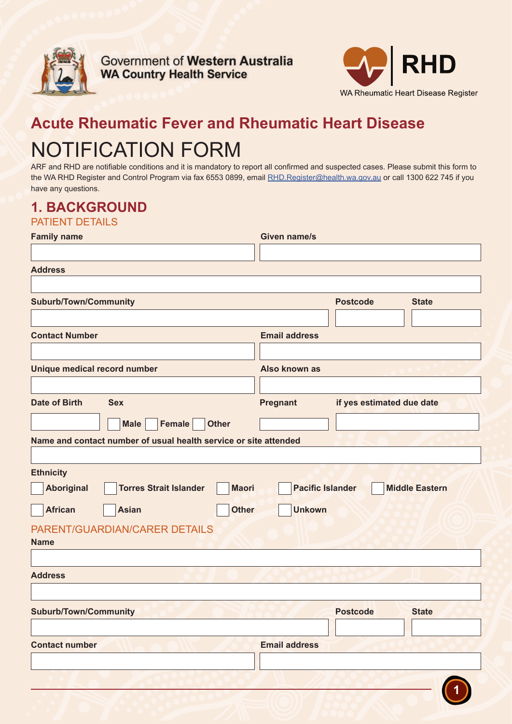

**Government of Western Australia WA Country Health Service** 



# **Acute Rheumatic Fever and Rheumatic Heart Disease** NOTIFICATION FORM

ARF and RHD are notifiable conditions and it is mandatory to report all confirmed and suspected cases. Please submit this form to the WA RHD Register and Control Program via fax 6553 0899, email RHD.Register@health.wa.gov.au or call 1300 622 745 if you have any questions.

#### **1. BACKGROUND** DATIENT DETAILS

| <b>FAILIENT DE IAILO</b>                                           |                         |                           |                       |  |
|--------------------------------------------------------------------|-------------------------|---------------------------|-----------------------|--|
| <b>Family name</b>                                                 | <b>Given name/s</b>     |                           |                       |  |
|                                                                    |                         |                           |                       |  |
| <b>Address</b>                                                     |                         |                           |                       |  |
|                                                                    |                         |                           |                       |  |
| <b>Suburb/Town/Community</b>                                       |                         | <b>Postcode</b>           | <b>State</b>          |  |
|                                                                    |                         |                           |                       |  |
| <b>Contact Number</b>                                              | <b>Email address</b>    |                           |                       |  |
|                                                                    |                         |                           |                       |  |
| Unique medical record number                                       | Also known as           |                           |                       |  |
|                                                                    |                         |                           |                       |  |
| <b>Date of Birth</b><br><b>Sex</b>                                 | <b>Pregnant</b>         | if yes estimated due date |                       |  |
|                                                                    |                         |                           |                       |  |
| <b>Female</b><br><b>Other</b><br><b>Male</b>                       |                         |                           |                       |  |
| Name and contact number of usual health service or site attended   |                         |                           |                       |  |
|                                                                    |                         |                           |                       |  |
| <b>Ethnicity</b>                                                   |                         |                           |                       |  |
| <b>Aboriginal</b><br><b>Torres Strait Islander</b><br><b>Maori</b> | <b>Pacific Islander</b> |                           | <b>Middle Eastern</b> |  |
| <b>Unkown</b><br><b>African</b><br><b>Asian</b><br><b>Other</b>    |                         |                           |                       |  |
|                                                                    |                         |                           |                       |  |
| PARENT/GUARDIAN/CARER DETAILS                                      |                         |                           |                       |  |
| <b>Name</b>                                                        |                         |                           |                       |  |
|                                                                    |                         |                           |                       |  |
| <b>Address</b>                                                     |                         |                           |                       |  |
|                                                                    |                         |                           |                       |  |
| <b>Suburb/Town/Community</b>                                       |                         | <b>Postcode</b>           | <b>State</b>          |  |
|                                                                    |                         |                           |                       |  |
| <b>Contact number</b>                                              | <b>Email address</b>    |                           |                       |  |
|                                                                    |                         |                           |                       |  |
|                                                                    |                         |                           |                       |  |
|                                                                    |                         |                           |                       |  |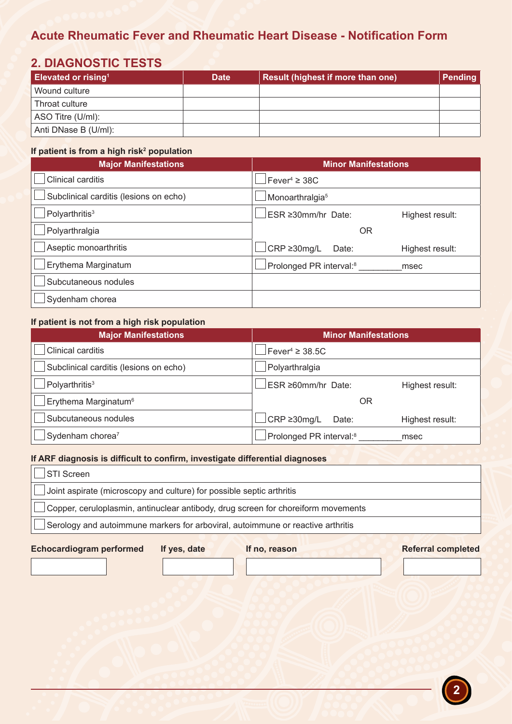### **Acute Rheumatic Fever and Rheumatic Heart Disease - Notification Form**

### **2. DIAGNOSTIC TESTS**

| <b>Elevated or rising<sup>1</sup></b> | <b>Date</b> | Result (highest if more than one) | <b>Pending</b> |
|---------------------------------------|-------------|-----------------------------------|----------------|
| Wound culture                         |             |                                   |                |
| Throat culture                        |             |                                   |                |
| ASO Titre (U/ml):                     |             |                                   |                |
| Anti DNase B (U/ml):                  |             |                                   |                |

#### If patient is from a high risk<sup>2</sup> population

| <b>Major Manifestations</b>            | <b>Minor Manifestations</b>                    |  |
|----------------------------------------|------------------------------------------------|--|
| Clinical carditis                      | Fever <sup>4</sup> $\geq$ 38C                  |  |
| Subclinical carditis (lesions on echo) | Monoarthralgia <sup>5</sup>                    |  |
| Polyarthritis <sup>3</sup>             | $ESR \geq 30$ mm/hr Date:<br>Highest result:   |  |
| Polyarthralgia                         | <b>OR</b>                                      |  |
| Aseptic monoarthritis                  | $CRP \geq 30$ mg/L<br>Date:<br>Highest result: |  |
| Erythema Marginatum                    | Prolonged PR interval: <sup>8</sup><br>msec    |  |
| Subcutaneous nodules                   |                                                |  |
| Sydenham chorea                        |                                                |  |

#### **If patient is not from a high risk population**

| <b>Major Manifestations</b>            | <b>Minor Manifestations</b>         |                 |
|----------------------------------------|-------------------------------------|-----------------|
| Clinical carditis                      | Fever <sup>4</sup> $\geq$ 38.5C     |                 |
| Subclinical carditis (lesions on echo) | Polyarthralgia                      |                 |
| Polyarthritis <sup>3</sup>             | ESR ≥60mm/hr Date:                  | Highest result: |
| Erythema Marginatum <sup>6</sup>       | OR                                  |                 |
| Subcutaneous nodules                   | CRP ≥30mg/L<br>Date:                | Highest result: |
| Sydenham chorea <sup>7</sup>           | Prolonged PR interval: <sup>8</sup> | msec            |

#### **If ARF diagnosis is difficult to confirm, investigate differential diagnoses**

| <b>STI Screen</b>                                                                      |  |
|----------------------------------------------------------------------------------------|--|
| Joint aspirate (microscopy and culture) for possible septic arthritis                  |  |
| Copper, ceruloplasmin, antinuclear antibody, drug screen for choreiform movements      |  |
| $\Box$ Serology and autoimmune markers for arboviral, autoimmune or reactive arthritis |  |
|                                                                                        |  |

#### **Echocardiogram performed If yes, date If no, reason Referral completed**

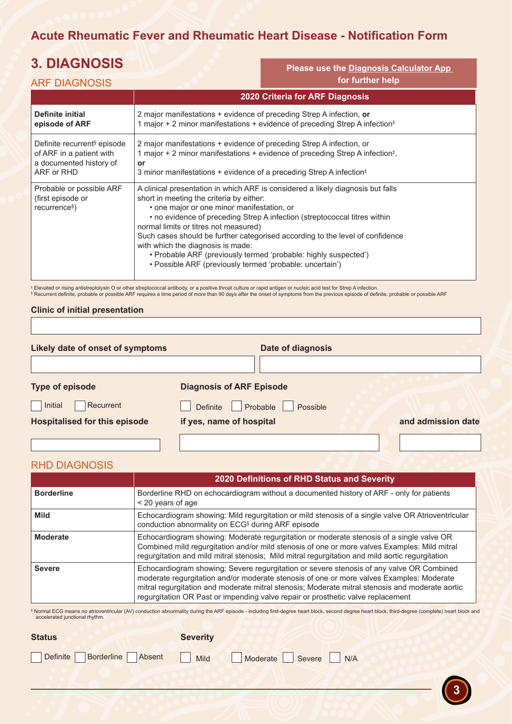## **Acute Rheumatic Fever and Rheumatic Heart Disease - Notification Form**

**Please use the Diagnosis Calculator App** 

# **3. DIAGNOSIS**

| <b>ARF DIAGNOSIS</b>                                                                                         |                                                                                                                                                                                                                                                                                                                                                                                                                                                                                                                                                      | for further help |
|--------------------------------------------------------------------------------------------------------------|------------------------------------------------------------------------------------------------------------------------------------------------------------------------------------------------------------------------------------------------------------------------------------------------------------------------------------------------------------------------------------------------------------------------------------------------------------------------------------------------------------------------------------------------------|------------------|
|                                                                                                              | 2020 Criteria for ARF Diagnosis                                                                                                                                                                                                                                                                                                                                                                                                                                                                                                                      |                  |
| <b>Definite initial</b><br>episode of ARF                                                                    | 2 major manifestations + evidence of preceding Strep A infection, or<br>1 major + 2 minor manifestations + evidence of preceding Strep A infection <sup>‡</sup>                                                                                                                                                                                                                                                                                                                                                                                      |                  |
| Definite recurrent <sup>§</sup> episode<br>of ARF in a patient with<br>a documented history of<br>ARF or RHD | 2 major manifestations + evidence of preceding Strep A infection, or<br>1 major + 2 minor manifestations + evidence of preceding Strep A infection <sup>‡</sup> ,<br>or<br>3 minor manifestations + evidence of a preceding Strep A infection <sup>‡</sup>                                                                                                                                                                                                                                                                                           |                  |
| Probable or possible ARF<br>(first episode or<br>recurrence <sup>§</sup> )                                   | A clinical presentation in which ARF is considered a likely diagnosis but falls<br>short in meeting the criteria by either:<br>• one major or one minor manifestation, or<br>• no evidence of preceding Strep A infection (streptococcal titres within<br>normal limits or titres not measured)<br>Such cases should be further categorised according to the level of confidence<br>with which the diagnosis is made:<br>• Probable ARF (previously termed 'probable: highly suspected')<br>• Possible ARF (previously termed 'probable: uncertain') |                  |

‡ Elevated or rising antistreptolysin O or other streptococcal antibody, or a positive throat culture or rapid antigen or nucleic acid test for Strep A infection.<br>§ Recurrent definite, probable or possible ARF requires a

#### **Clinic of initial presentation**

| Likely date of onset of symptoms     |                                  | Date of diagnosis |                    |
|--------------------------------------|----------------------------------|-------------------|--------------------|
|                                      |                                  |                   |                    |
| Type of episode                      | <b>Diagnosis of ARF Episode</b>  |                   |                    |
| Initial<br>Recurrent                 | Probable<br>Definite<br>Possible |                   |                    |
| <b>Hospitalised for this episode</b> | if yes, name of hospital         |                   | and admission date |
|                                      |                                  |                   |                    |

#### RHD DIAGNOSIS

|                   | 2020 Definitions of RHD Status and Severity                                                                                                                                                                                                                                                                                                                                |
|-------------------|----------------------------------------------------------------------------------------------------------------------------------------------------------------------------------------------------------------------------------------------------------------------------------------------------------------------------------------------------------------------------|
| <b>Borderline</b> | Borderline RHD on echocardiogram without a documented history of ARF - only for patients<br>< 20 years of age                                                                                                                                                                                                                                                              |
| <b>Mild</b>       | Echocardiogram showing: Mild regurgitation or mild stenosis of a single valve OR Atrioventricular<br>conduction abnormality on ECG <sup>§</sup> during ARF episode                                                                                                                                                                                                         |
| Moderate          | Echocardiogram showing: Moderate regurgitation or moderate stenosis of a single valve OR<br>Combined mild regurgitation and/or mild stenosis of one or more valves Examples: Mild mitral<br>regurgitation and mild mitral stenosis; Mild mitral regurgitation and mild aortic regurgitation                                                                                |
| <b>Severe</b>     | Echocardiogram showing: Severe regurgitation or severe stenosis of any valve OR Combined<br>moderate regurgitation and/or moderate stenosis of one or more valves Examples: Moderate<br>mitral regurgitation and moderate mitral stenosis; Moderate mitral stenosis and moderate aortic<br>regurgitation OR Past or impending valve repair or prosthetic valve replacement |

§ Normal ECG means no atrioventricular (AV) conduction abnormality during the ARF episode - including first-degree heart block, second degree heart block, third-degree (complete) heart block and accelerated junctional rhythm.

**3**

| <b>Status</b>                                       | <b>Severity</b> |  |
|-----------------------------------------------------|-----------------|--|
| Definite Borderline Absent Mild Moderate Severe N/A |                 |  |